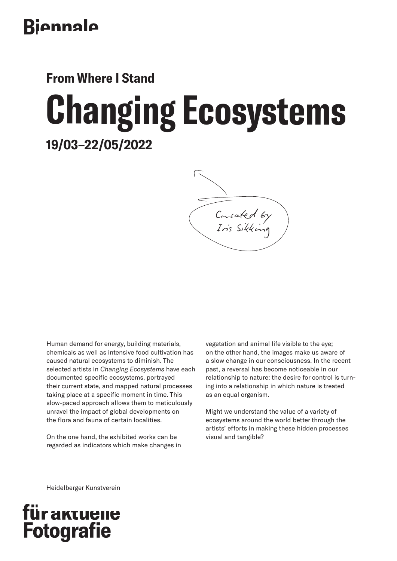# Biennale

**From Where I Stand**

# **19/03–22/05/2022 Changing Ecosystems**

Consated by Iris Sikking

Human demand for energy, building materials, chemicals as well as intensive food cultivation has caused natural ecosystems to diminish. The selected artists in *Changing Ecosystems* have each documented specific ecosystems, portrayed their current state, and mapped natural processes taking place at a specific moment in time. This slow-paced approach allows them to meticulously unravel the impact of global developments on the flora and fauna of certain localities.

On the one hand, the exhibited works can be regarded as indicators which make changes in vegetation and animal life visible to the eye; on the other hand, the images make us aware of a slow change in our consciousness. In the recent past, a reversal has become noticeable in our relationship to nature: the desire for control is turning into a relationship in which nature is treated as an equal organism.

Might we understand the value of a variety of ecosystems around the world better through the artists' efforts in making these hidden processes visual and tangible?

Heidelberger Kunstverein

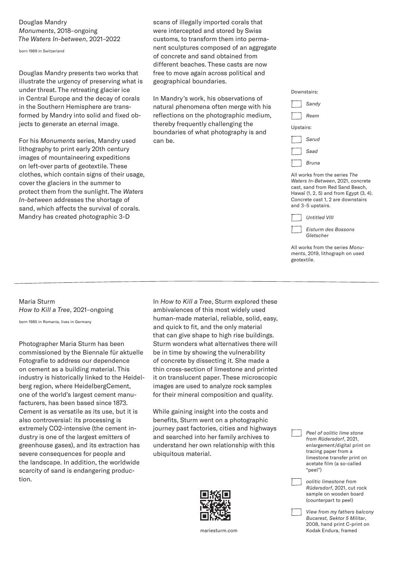#### Douglas Mandry *Monuments*, 2018–ongoing *The Waters In-between*, 2021–2022

born 1989 in Switzerland

Douglas Mandry presents two works that illustrate the urgency of preserving what is under threat. The retreating glacier ice in Central Europe and the decay of corals in the Southern Hemisphere are transformed by Mandry into solid and fixed objects to generate an eternal image.

For his *Monuments* series, Mandry used lithography to print early 20th century images of mountaineering expeditions on left-over parts of geotextile. These clothes, which contain signs of their usage, cover the glaciers in the summer to protect them from the sunlight. The *Waters In-between* addresses the shortage of sand, which affects the survival of corals. Mandry has created photographic 3-D

scans of illegally imported corals that were intercepted and stored by Swiss customs, to transform them into permanent sculptures composed of an aggregate of concrete and sand obtained from different beaches. These casts are now free to move again across political and geographical boundaries.

In Mandry's work, his observations of natural phenomena often merge with his reflections on the photographic medium, thereby frequently challenging the boundaries of what photography is and can be.



All works from the series *The Waters In-Between*, 2021, concrete cast, sand from Red Sand Beach, Hawaï (1, 2, 5) and from Egypt (3, 4). Concrete cast 1, 2 are downstairs and 3–5 upstairs.

| <b>Untitled VIII</b>             |
|----------------------------------|
| Eisturm des Bossons<br>Gletscher |

All works from the series *Monuments*, 2019, lithograph on used geotextile.

# Maria Sturm *How to Kill a Tree*, 2021–ongoing

born 1985 in Romania, lives in Germany

Photographer Maria Sturm has been commissioned by the Biennale für aktuelle Fotografie to address our dependence on cement as a building material. This industry is historically linked to the Heidelberg region, where HeidelbergCement, one of the world's largest cement manufacturers, has been based since 1873. Cement is as versatile as its use, but it is also controversial: its processing is extremely CO2-intensive (the cement industry is one of the largest emitters of greenhouse gases), and its extraction has severe consequences for people and the landscape. In addition, the worldwide scarcity of sand is endangering production.

In *How to Kill a Tree*, Sturm explored these ambivalences of this most widely used human-made material, reliable, solid, easy, and quick to fit, and the only material that can give shape to high rise buildings. Sturm wonders what alternatives there will be in time by showing the vulnerability of concrete by dissecting it. She made a thin cross-section of limestone and printed it on translucent paper. These microscopic images are used to analyze rock samples for their mineral composition and quality.

While gaining insight into the costs and benefits, Sturm went on a photographic journey past factories, cities and highways and searched into her family archives to understand her own relationship with this ubiquitous material.



 *Peel of oolitic lime stone from Rüdersdorf*, 2021, enlargement/digital print on tracing paper from a limestone transfer print on acetate film (a so-called "peel")

 *oolitic limestone from Rüdersdorf*, 2021, cut rock sample on wooden board (counterpart to peel)

 *View from my fathers balcony Bucarest, Sektor 5 Militar*, 2008, hand print C-print on mariesturm.com Kodak Endura, framed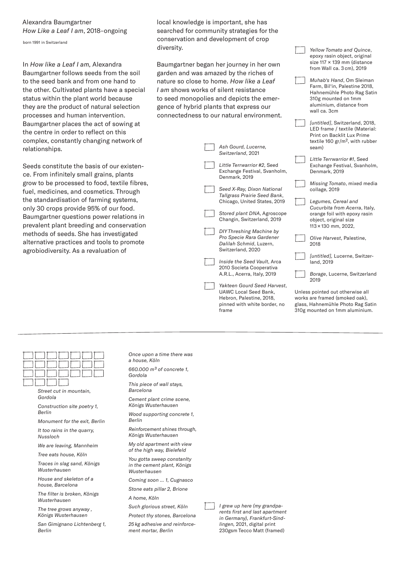#### Alexandra Baumgartner *How Like a Leaf I am*, 2018–ongoing

born 1991 in Switzerland

In *How like a Leaf I am,* Alexandra Baumgartner follows seeds from the soil to the seed bank and from one hand to the other. Cultivated plants have a special status within the plant world because they are the product of natural selection processes and human intervention. Baumgartner places the act of sowing at the centre in order to reflect on this complex, constantly changing network of relationships.

Seeds constitute the basis of our existence. From infinitely small grains, plants grow to be processed to food, textile fibres, fuel, medicines, and cosmetics. Through the standardisation of farming systems, only 30 crops provide 95% of our food. Baumgartner questions power relations in prevalent plant breeding and conservation methods of seeds. She has investigated alternative practices and tools to promote agrobiodiversity. As a revaluation of

local knowledge is important, she has searched for community strategies for the conservation and development of crop diversity.

Baumgartner began her journey in her own garden and was amazed by the riches of nature so close to home. *How like a Leaf I am* shows works of silent resistance to seed monopolies and depicts the emergence of hybrid plants that express our connectednes

| s to our natural environment.                                                                                                    | wall ca. 3cm                                                                                                                                  |
|----------------------------------------------------------------------------------------------------------------------------------|-----------------------------------------------------------------------------------------------------------------------------------------------|
| Ash Gourd, Lucerne,                                                                                                              | [untitled], Switzerland, 2018,<br>LED frame / textile (Material:<br>Print on Backlit Lux Prime<br>textile 160 $gr/m^2$ , with rubber<br>seam) |
| Switzerland, 2021                                                                                                                |                                                                                                                                               |
| Little Terrwarrior #2, Seed<br>Exchange Festival, Svanholm,<br>Denmark, 2019                                                     | Little Terrwarrior #1, Seed<br>Exchange Festival, Svanholm,<br>Denmark, 2019                                                                  |
| Seed X-Ray, Dixon National<br>Tallgrass Prairie Seed Bank,                                                                       | Missing Tomato, mixed media<br>collage, 2019                                                                                                  |
| Chicago, United States, 2019                                                                                                     | Legumes, Cereal and                                                                                                                           |
| Stored plant DNA, Agroscope<br>Changin, Switzerland, 2019                                                                        | Cucurbita from Acerra, Italy,<br>orange foil with epoxy rasin<br>object, original size<br>113 × 130 mm, 2022,                                 |
| DIY Threshing Machine by<br>Pro Specie Rara Gardener<br>Dalilah Schmid, Luzern,<br>Switzerland, 2020                             | Olive Harvest, Palestine,<br>2018                                                                                                             |
| Inside the Seed Vault, Arca<br>2010 Societa Cooperativa                                                                          | [untitled], Lucerne, Switzer-<br>land, 2019                                                                                                   |
| A.R.L., Acerra, Italy, 2019                                                                                                      | Borage, Lucerne, Switzerland<br>2019                                                                                                          |
| Yakteen Gourd Seed Harvest,<br><b>UAWC Local Seed Bank.</b><br>Hebron, Palestine, 2018,<br>pinned with white border, no<br>frame | Unless pointed out otherwise all<br>works are framed (smoked oak),<br>glass, Hahnemühle Photo Rag Satin<br>310g mounted on 1mm aluminium.     |

 *Yellow Tomato and Quince*, epoxy rasin object, original size 117 × 139 mm (distance from Wall ca. 3 cm), 2019 *Muhab's Hand*, Om Sleiman Farm, Bil'in, Palestine 2018, Hahnemühle Photo Rag Satin 310g mounted on 1mm aluminium, distance from

*Street cut in mountain, Gordola* 

*Construction site poetry 1, Berlin*

*Monument for the exit, Berlin*

*It too rains in the quarry, Nussloch*

*We are leaving, Mannheim*

*Tree eats house, Köln*

*Traces in slag sand, Königs Wusterhausen*

*House and skeleton of a house, Barcelona*

*The filter is broken, Königs Wusterhausen*

*The tree grows anyway , Königs Wusterhausen*

*San Gimignano Lichtenberg 1, Berlin*

*a house, Köln 660.000 m3 of concrete 1, Gordola*

*Once upon a time there was* 

*This piece of wall stays, Barcelona*

*Cement plant crime scene, Königs Wusterhausen*

*Wood supporting concrete 1, Berlin*

*Reinforcement shines through, Königs Wusterhausen*

*My old apartment with view of the high way, Bielefeld*

*You gotta sweep constanlty in the cement plant, Königs Wusterhausen*

*Coming soon … 1, Cugnasco Stone eats pillar 2, Brione*

*A home, Köln*

*Such glorious street, Köln*

*Protect thy stones, Barcelona*

*25 kg adhesive and reinforcement mortar, Berlin*



 *I grew up here (my grandparents first and last apartment in Germany), Frankfurt-Sindlingen,* 2021, digital print 230gsm Tecco Matt (framed)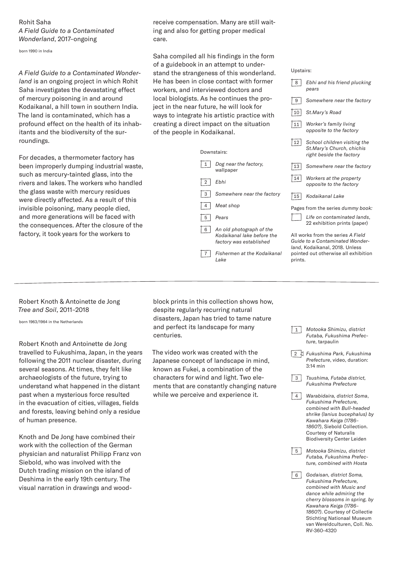### Rohit Saha *A Field Guide to a Contaminated Wonderland*, 2017–ongoing

born 1990 in India

*A Field Guide to a Contaminated Wonderland* is an ongoing project in which Rohit Saha investigates the devastating effect of mercury poisoning in and around Kodaikanal, a hill town in southern India. The land is contaminated, which has a profound effect on the health of its inhabitants and the biodiversity of the surroundings.

For decades, a thermometer factory has been improperly dumping industrial waste, such as mercury-tainted glass, into the rivers and lakes. The workers who handled the glass waste with mercury residues were directly affected. As a result of this invisible poisoning, many people died, and more generations will be faced with the consequences. After the closure of the factory, it took years for the workers to

receive compensation. Many are still waiting and also for getting proper medical care.

Saha compiled all his findings in the form of a guidebook in an attempt to understand the strangeness of this wonderland. He has been in close contact with former workers, and interviewed doctors and local biologists. As he continues the project in the near future, he will look for ways to integrate his artistic practice with creating a direct impact on the situation of the people in Kodaikanal.

|                | Downstairs:                                                                       |  |  |
|----------------|-----------------------------------------------------------------------------------|--|--|
| $\mathbf{1}$   | Dog near the factory,<br>wallpaper                                                |  |  |
| $\overline{2}$ | Ebhi                                                                              |  |  |
| 3              | Somewhere near the factory                                                        |  |  |
| 4              | Meat shop                                                                         |  |  |
| 5              | Pears                                                                             |  |  |
| 6              | An old photograph of the<br>Kodaikanal lake before the<br>factory was established |  |  |
|                | Fishermen at the Kodaikanal<br>I ake                                              |  |  |

| Upstairs:                                                                                                                                                 |                                                                                       |  |
|-----------------------------------------------------------------------------------------------------------------------------------------------------------|---------------------------------------------------------------------------------------|--|
| 8                                                                                                                                                         | Ebhi and his friend plucking<br>pears                                                 |  |
| 9                                                                                                                                                         | Somewhere near the factory                                                            |  |
| 10                                                                                                                                                        | St.Mary's Road                                                                        |  |
| 11                                                                                                                                                        | Worker's family living<br>opposite to the factory                                     |  |
| 12                                                                                                                                                        | School children visiting the<br>St.Mary's Church, chichis<br>right beside the factory |  |
| 13                                                                                                                                                        | Somewhere near the factory                                                            |  |
| 14                                                                                                                                                        | Workers at the property<br>opposite to the factory                                    |  |
| 15                                                                                                                                                        | Kodaikanal Lake                                                                       |  |
| Pages from the series dummy book:                                                                                                                         |                                                                                       |  |
|                                                                                                                                                           | Life on contaminated lands,<br>22 exhibition prints (paper)                           |  |
| All works from the series A Field<br>Guide to a Contaminated Wonder-<br>land, Kodaikanal, 2018. Unless<br>pointed out otherwise all exhibition<br>prints. |                                                                                       |  |

# Robert Knoth & Antoinette de Jong *Tree and Soil*, 2011–2018

born 1963/1964 in the Netherlands

Robert Knoth and Antoinette de Jong travelled to Fukushima, Japan, in the years following the 2011 nuclear disaster, during several seasons. At times, they felt like archaeologists of the future, trying to understand what happened in the distant past when a mysterious force resulted in the evacuation of cities, villages, fields and forests, leaving behind only a residue of human presence.

Knoth and De Jong have combined their work with the collection of the German physician and naturalist Philipp Franz von Siebold, who was involved with the Dutch trading mission on the island of Deshima in the early 19th century. The visual narration in drawings and woodblock prints in this collection shows how, despite regularly recurring natural disasters, Japan has tried to tame nature and perfect its landscape for many centuries.

The video work was created with the Japanese concept of landscape in mind, known as Fukei, a combination of the characters for wind and light. Two elements that are constantly changing nature while we perceive and experience it.

| $\mathbf{1}$                             | Motooka Shimizu, district<br>Futaba, Fukushima Prefec-<br>ture, tarpaulin                                                                                                                                                                                                                |
|------------------------------------------|------------------------------------------------------------------------------------------------------------------------------------------------------------------------------------------------------------------------------------------------------------------------------------------|
| $\begin{array}{c} \boxed{2} \end{array}$ | Fukushima Park, Fukushima<br>Prefecture, video, duration:<br>$3:14$ min                                                                                                                                                                                                                  |
| 3                                        | Tsushima, Futaba district,<br>Fukushima Prefecture                                                                                                                                                                                                                                       |
| 4                                        | Warabidaira, district Soma,<br>Fukushima Prefecture,<br>combined with Bull-headed<br>shrike (lanius bucephalus) by<br>Kawahara Keiga (1786-<br>1860?), Siebold Collection.<br><b>Courtesy of Naturalis</b><br><b>Biodiversity Center Leiden</b>                                          |
| 5                                        | Motooka Shimizu, district<br>Futaba, Fukushima Prefec-<br>ture, combined with Hosta                                                                                                                                                                                                      |
| 6                                        | Godaisan, district Soma,<br>Fukushima Prefecture.<br>combined with Music and<br>dance while admiring the<br>cherry blossoms in spring, by<br>Kawahara Keiga (1786-<br>1860?). Courtesy of Collectie<br><b>Stichting Nationaal Museum</b><br>van Wereldculturen, Coll. No.<br>RV-360-4320 |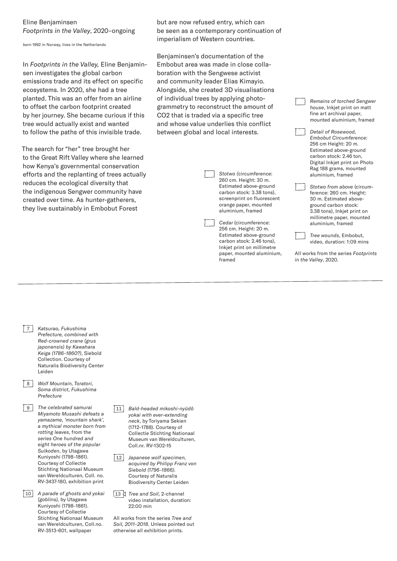#### Eline Benjaminsen *Footprints in the Valley*, 2020–ongoing

born 1992 in Norway, lives in the Netherlands

In *Footprints in the Valley,* Eline Benjaminsen investigates the global carbon emissions trade and its effect on specific ecosystems. In 2020, she had a tree planted. This was an offer from an airline to offset the carbon footprint created by her journey. She became curious if this tree would actually exist and wanted to follow the paths of this invisible trade.

The search for "her" tree brought her to the Great Rift Valley where she learned how Kenya's governmental conservation efforts and the replanting of trees actually reduces the ecological diversity that the indigenous Sengwer community have created over time. As hunter-gatherers, they live sustainably in Embobut Forest

but are now refused entry, which can be seen as a contemporary continuation of imperialism of Western countries.

Benjaminsen's documentation of the Embobut area was made in close collaboration with the Sengwese activist and community leader Elias Kimayio. Alongside, she created 3D visualisations of individual trees by applying photogrammetry to reconstruct the amount of CO2 that is traded via a specific tree and whose value underlies this conflict between global and local interests.

> *Stotwo (*circumference: 260 cm. Height: 30 m. Estimated above-ground carbon stock: 3.38 tons), screenprint on fluorescent orange paper, mounted aluminium, framed *Cedar* (circumference: 256 cm. Height: 20 m.

Estimated above-ground carbon stock: 2.46 tons), Inkjet print on millimetre paper, mounted aluminium, framed

 *Remains of torched Sengwer house*, Inkjet print on matt fine art archival paper, mounted aluminium, framed *Detail of Rosewood, Embobut Circumference*:

256 cm Height: 20 m. Estimated above-ground carbon stock: 2.46 ton, Digital Inkjet print on Photo Rag 188 grams, mounted

aluminium, framed *Stotwo from above* (circumference: 260 cm. Height: 30 m. Estimated aboveground carbon stock: 3.38 tons), Inkjet print on millimetre paper, mounted aluminium, framed

 *Tree wounds*, Embobut, video, duration: 1:09 mins

All works from the series *Footprints in the Valley*, 2020.

- 7 *Katsurao, Fukushima Prefecture, combined with Red-crowned crane (grus japonensis) by Kawahara Keiga (1786–1860?)*, Siebold Collection. Courtesy of Naturalis Biodiversity Center Leiden
- 8 *Wolf Mountain, Toratori, Soma district, Fukushima Prefecture*

9 *The celebrated samurai Miyamoto Musashi defeats a yamazame, 'mountain shark', a mythical monster born from rotting leaves*, from the *series One hundred and eight heroes of the popular Suikoden*, by Utagawa Kuniyoshi (1798–1861). Courtesy of Collectie Stichting Nationaal Museum van Wereldculturen, Coll. no. RV-3437-180, exhibition print

10 *A parade of ghosts and yokai (goblins),* by Utagawa Kuniyoshi (1798–1861). Courtesy of Collectie Stichting Nationaal Museum van Wereldculturen, Coll.no. RV-3513-601, wallpaper

11 *Bald-headed mikoshi-nyūdō yokai with ever-extending neck*, by Toriyama Sekien (1712–1788). Courtesy of Collectie Stichting Nationaal Museum van Wereldculturen, Coll.nr. RV-1302-15

12 *Japanese wolf specimen, acquired by Philipp Franz von Siebold (1796–1866).* Courtesy of Naturalis Biodiversity Center Leiden

13 *Tree and Soil*, 2-channel video installation, duration: 22:00 min

All works from the series *Tree and Soil, 2011–2018*. Unless pointed out otherwise all exhibition prints.